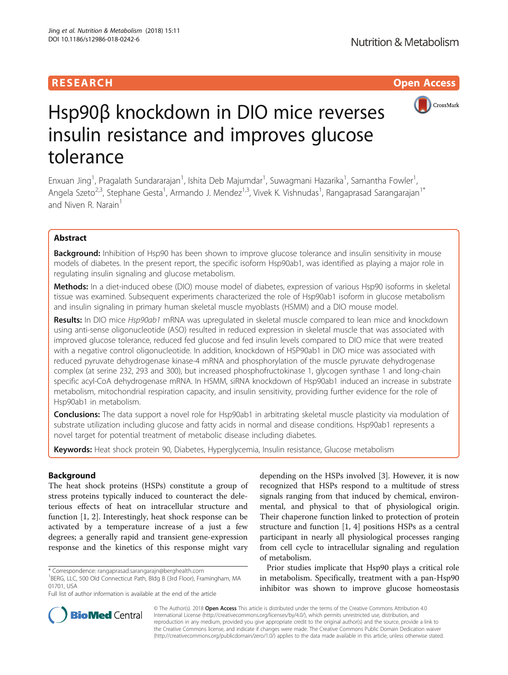## RESEARCH **RESEARCH CHOOSE ACCESS**



# Hsp90β knockdown in DIO mice reverses insulin resistance and improves glucose tolerance

Enxuan Jing<sup>1</sup>, Pragalath Sundararajan<sup>1</sup>, Ishita Deb Majumdar<sup>1</sup>, Suwagmani Hazarika<sup>1</sup>, Samantha Fowler<sup>1</sup> , Angela Szeto<sup>2,3</sup>, Stephane Gesta<sup>1</sup>, Armando J. Mendez<sup>1,3</sup>, Vivek K. Vishnudas<sup>1</sup>, Rangaprasad Sarangarajan<sup>1\*</sup> and Niven R. Narain<sup>1</sup>

## Abstract

**Background:** Inhibition of Hsp90 has been shown to improve glucose tolerance and insulin sensitivity in mouse models of diabetes. In the present report, the specific isoform Hsp90ab1, was identified as playing a major role in regulating insulin signaling and glucose metabolism.

Methods: In a diet-induced obese (DIO) mouse model of diabetes, expression of various Hsp90 isoforms in skeletal tissue was examined. Subsequent experiments characterized the role of Hsp90ab1 isoform in glucose metabolism and insulin signaling in primary human skeletal muscle myoblasts (HSMM) and a DIO mouse model.

Results: In DIO mice Hsp90ab1 mRNA was upregulated in skeletal muscle compared to lean mice and knockdown using anti-sense oligonucleotide (ASO) resulted in reduced expression in skeletal muscle that was associated with improved glucose tolerance, reduced fed glucose and fed insulin levels compared to DIO mice that were treated with a negative control oligonucleotide. In addition, knockdown of HSP90ab1 in DIO mice was associated with reduced pyruvate dehydrogenase kinase-4 mRNA and phosphorylation of the muscle pyruvate dehydrogenase complex (at serine 232, 293 and 300), but increased phosphofructokinase 1, glycogen synthase 1 and long-chain specific acyl-CoA dehydrogenase mRNA. In HSMM, siRNA knockdown of Hsp90ab1 induced an increase in substrate metabolism, mitochondrial respiration capacity, and insulin sensitivity, providing further evidence for the role of Hsp90ab1 in metabolism.

Conclusions: The data support a novel role for Hsp90ab1 in arbitrating skeletal muscle plasticity via modulation of substrate utilization including glucose and fatty acids in normal and disease conditions. Hsp90ab1 represents a novel target for potential treatment of metabolic disease including diabetes.

Keywords: Heat shock protein 90, Diabetes, Hyperglycemia, Insulin resistance, Glucose metabolism

## Background

The heat shock proteins (HSPs) constitute a group of stress proteins typically induced to counteract the deleterious effects of heat on intracellular structure and function [\[1](#page-8-0), [2](#page-8-0)]. Interestingly, heat shock response can be activated by a temperature increase of a just a few degrees; a generally rapid and transient gene-expression response and the kinetics of this response might vary

<sup>1</sup>BERG, LLC, 500 Old Connecticut Path, Bldg B (3rd Floor), Framingham, MA 01701, USA

depending on the HSPs involved [\[3\]](#page-8-0). However, it is now recognized that HSPs respond to a multitude of stress signals ranging from that induced by chemical, environmental, and physical to that of physiological origin. Their chaperone function linked to protection of protein structure and function [\[1](#page-8-0), [4](#page-8-0)] positions HSPs as a central participant in nearly all physiological processes ranging from cell cycle to intracellular signaling and regulation of metabolism.

Prior studies implicate that Hsp90 plays a critical role in metabolism. Specifically, treatment with a pan-Hsp90 inhibitor was shown to improve glucose homeostasis



© The Author(s). 2018 Open Access This article is distributed under the terms of the Creative Commons Attribution 4.0 International License [\(http://creativecommons.org/licenses/by/4.0/](http://creativecommons.org/licenses/by/4.0/)), which permits unrestricted use, distribution, and reproduction in any medium, provided you give appropriate credit to the original author(s) and the source, provide a link to the Creative Commons license, and indicate if changes were made. The Creative Commons Public Domain Dedication waiver [\(http://creativecommons.org/publicdomain/zero/1.0/](http://creativecommons.org/publicdomain/zero/1.0/)) applies to the data made available in this article, unless otherwise stated.

<sup>\*</sup> Correspondence: [rangaprasad.sarangarajn@berghealth.com](mailto:rangaprasad.sarangarajn@berghealth.com) <sup>1</sup>

Full list of author information is available at the end of the article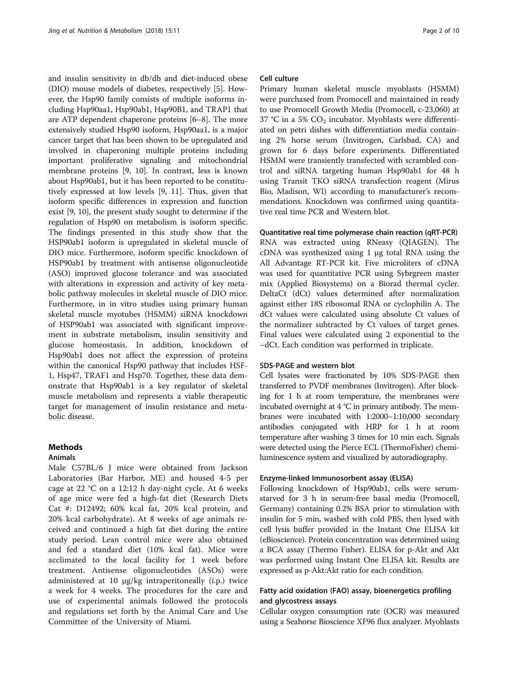and insulin sensitivity in db/db and diet-induced obese (DIO) mouse models of diabetes, respectively [\[5](#page-8-0)]. However, the Hsp90 family consists of multiple isoforms including Hsp90aa1, Hsp90ab1, Hsp90B1, and TRAP1 that are ATP dependent chaperone proteins [\[6](#page-9-0)–[8](#page-9-0)]. The more extensively studied Hsp90 isoform, Hsp90aa1, is a major cancer target that has been shown to be upregulated and involved in chaperoning multiple proteins including important proliferative signaling and mitochondrial membrane proteins [[9, 10](#page-9-0)]. In contrast, less is known about Hsp90ab1, but it has been reported to be constitutively expressed at low levels [[9, 11](#page-9-0)]. Thus, given that isoform specific differences in expression and function exist [[9](#page-9-0), [10](#page-9-0)], the present study sought to determine if the regulation of Hsp90 on metabolism is isoform specific. The findings presented in this study show that the HSP90ab1 isoform is upregulated in skeletal muscle of DIO mice. Furthermore, isoform specific knockdown of HSP90ab1 by treatment with antisense oligonucleotide (ASO) improved glucose tolerance and was associated with alterations in expression and activity of key metabolic pathway molecules in skeletal muscle of DIO mice. Furthermore, in in vitro studies using primary human skeletal muscle myotubes (HSMM) siRNA knockdown of HSP90ab1 was associated with significant improvement in substrate metabolism, insulin sensitivity and glucose homeostasis. In addition, knockdown of Hsp90ab1 does not affect the expression of proteins within the canonical Hsp90 pathway that includes HSF-1, Hsp47, TRAF1 and Hsp70. Together, these data demonstrate that Hsp90ab1 is a key regulator of skeletal muscle metabolism and represents a viable therapeutic target for management of insulin resistance and metabolic disease.

#### Methods

## Animals

Male C57BL/6 J mice were obtained from Jackson Laboratories (Bar Harbor, ME) and housed 4-5 per cage at 22 °C on a 12:12 h day-night cycle. At 6 weeks of age mice were fed a high-fat diet (Research Diets Cat #: D12492; 60% kcal fat, 20% kcal protein, and 20% kcal carbohydrate). At 8 weeks of age animals received and continued a high fat diet during the entire study period. Lean control mice were also obtained and fed a standard diet (10% kcal fat). Mice were acclimated to the local facility for 1 week before treatment. Antisense oligonucleotides (ASOs) were administered at 10 μg/kg intraperitoneally (i.p.) twice a week for 4 weeks. The procedures for the care and use of experimental animals followed the protocols and regulations set forth by the Animal Care and Use Committee of the University of Miami.

## Cell culture

Primary human skeletal muscle myoblasts (HSMM) were purchased from Promocell and maintained in ready to use Promocell Growth Media (Promocell, c-23,060) at 37 °C in a 5%  $CO<sub>2</sub>$  incubator. Myoblasts were differentiated on petri dishes with differentiation media containing 2% horse serum (Invitrogen, Carlsbad, CA) and grown for 6 days before experiments. Differentiated HSMM were transiently transfected with scrambled control and siRNA targeting human Hsp90ab1 for 48 h using Transit TKO siRNA transfection reagent (Mirus Bio, Madison, WI) according to manufacturer's recommendations. Knockdown was confirmed using quantitative real time PCR and Western blot.

## Quantitative real time polymerase chain reaction (qRT-PCR)

RNA was extracted using RNeasy (QIAGEN). The cDNA was synthesized using 1 μg total RNA using the All Advantage RT-PCR kit. Five microliters of cDNA was used for quantitative PCR using Sybrgreen master mix (Applied Biosystems) on a Biorad thermal cycler. DeltaCt (dCt) values determined after normalization against either 18S ribosomal RNA or cyclophilin A. The dCt values were calculated using absolute Ct values of the normalizer subtracted by Ct values of target genes. Final values were calculated using 2 exponential to the −dCt. Each condition was performed in triplicate.

#### SDS-PAGE and western blot

Cell lysates were fractionated by 10% SDS-PAGE then transferred to PVDF membranes (Invitrogen). After blocking for 1 h at room temperature, the membranes were incubated overnight at 4 °C in primary antibody. The membranes were incubated with 1:2000–1:10,000 secondary antibodies conjugated with HRP for 1 h at room temperature after washing 3 times for 10 min each. Signals were detected using the Pierce ECL (ThermoFisher) chemiluminescence system and visualized by autoradiography.

#### Enzyme-linked Immunosorbent assay (ELISA)

Following knockdown of Hsp90ab1, cells were serumstarved for 3 h in serum-free basal media (Promocell, Germany) containing 0.2% BSA prior to stimulation with insulin for 5 min, washed with cold PBS, then lysed with cell lysis buffer provided in the Instant One ELISA kit (eBioscience). Protein concentration was determined using a BCA assay (Thermo Fisher). ELISA for p-Akt and Akt was performed using Instant One ELISA kit. Results are expressed as p-Akt:Akt ratio for each condition.

## Fatty acid oxidation (FAO) assay, bioenergetics profiling and glycostress assays

Cellular oxygen consumption rate (OCR) was measured using a Seahorse Bioscience XF96 flux analyzer. Myoblasts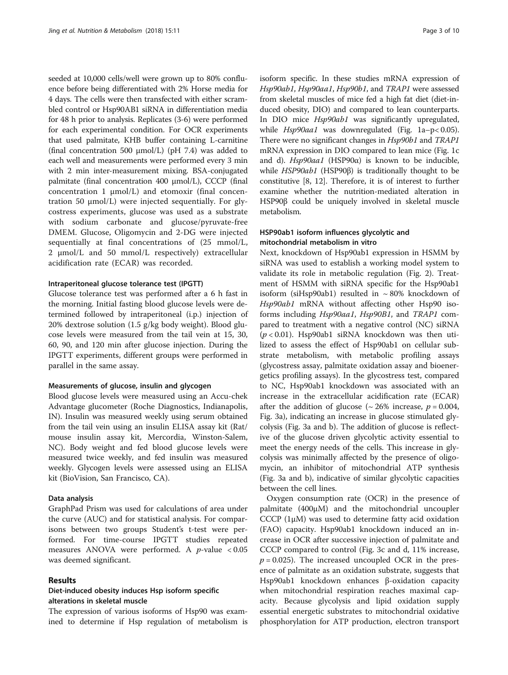seeded at 10,000 cells/well were grown up to 80% confluence before being differentiated with 2% Horse media for 4 days. The cells were then transfected with either scrambled control or Hsp90AB1 siRNA in differentiation media for 48 h prior to analysis. Replicates (3-6) were performed for each experimental condition. For OCR experiments that used palmitate, KHB buffer containing L-carnitine (final concentration 500  $\mu$ mol/L) (pH 7.4) was added to each well and measurements were performed every 3 min with 2 min inter-measurement mixing. BSA-conjugated palmitate (final concentration 400 μmol/L), CCCP (final concentration 1 μmol/L) and etomoxir (final concentration 50 μmol/L) were injected sequentially. For glycostress experiments, glucose was used as a substrate with sodium carbonate and glucose/pyruvate-free DMEM. Glucose, Oligomycin and 2-DG were injected sequentially at final concentrations of (25 mmol/L, 2 μmol/L and 50 mmol/L respectively) extracellular acidification rate (ECAR) was recorded.

## Intraperitoneal glucose tolerance test (IPGTT)

Glucose tolerance test was performed after a 6 h fast in the morning. Initial fasting blood glucose levels were determined followed by intraperitoneal (i.p.) injection of 20% dextrose solution (1.5 g/kg body weight). Blood glucose levels were measured from the tail vein at 15, 30, 60, 90, and 120 min after glucose injection. During the IPGTT experiments, different groups were performed in parallel in the same assay.

#### Measurements of glucose, insulin and glycogen

Blood glucose levels were measured using an Accu-chek Advantage glucometer (Roche Diagnostics, Indianapolis, IN). Insulin was measured weekly using serum obtained from the tail vein using an insulin ELISA assay kit (Rat/ mouse insulin assay kit, Mercordia, Winston-Salem, NC). Body weight and fed blood glucose levels were measured twice weekly, and fed insulin was measured weekly. Glycogen levels were assessed using an ELISA kit (BioVision, San Francisco, CA).

#### Data analysis

GraphPad Prism was used for calculations of area under the curve (AUC) and for statistical analysis. For comparisons between two groups Student's t-test were performed. For time-course IPGTT studies repeated measures ANOVA were performed. A  $p$ -value < 0.05 was deemed significant.

### Results

## Diet-induced obesity induces Hsp isoform specific alterations in skeletal muscle

The expression of various isoforms of Hsp90 was examined to determine if Hsp regulation of metabolism is

isoform specific. In these studies mRNA expression of Hsp90ab1, Hsp90aa1, Hsp90b1, and TRAP1 were assessed from skeletal muscles of mice fed a high fat diet (diet-induced obesity, DIO) and compared to lean counterparts. In DIO mice Hsp90ab1 was significantly upregulated, while  $Hsp90aa1$  was downregulated (Fig. [1a](#page-3-0)-p< 0.05). There were no significant changes in Hsp90b1 and TRAP1 mRNA expression in DIO compared to lean mice (Fig. [1c](#page-3-0) [and d\)](#page-3-0). Hsp90aa1 (HSP90α) is known to be inducible, while HSP90ab1 (HSP90β) is traditionally thought to be constitutive [\[8](#page-9-0), [12\]](#page-9-0). Therefore, it is of interest to further examine whether the nutrition-mediated alteration in HSP90β could be uniquely involved in skeletal muscle metabolism.

## HSP90ab1 isoform influences glycolytic and mitochondrial metabolism in vitro

Next, knockdown of Hsp90ab1 expression in HSMM by siRNA was used to establish a working model system to validate its role in metabolic regulation (Fig. [2](#page-3-0)). Treatment of HSMM with siRNA specific for the Hsp90ab1 isoform (siHsp90ab1) resulted in  $\sim 80\%$  knockdown of Hsp90ab1 mRNA without affecting other Hsp90 isoforms including Hsp90aa1, Hsp90B1, and TRAP1 compared to treatment with a negative control (NC) siRNA  $(p < 0.01)$ . Hsp90ab1 siRNA knockdown was then utilized to assess the effect of Hsp90ab1 on cellular substrate metabolism, with metabolic profiling assays (glycostress assay, palmitate oxidation assay and bioenergetics profiling assays). In the glycostress test, compared to NC, Hsp90ab1 knockdown was associated with an increase in the extracellular acidification rate (ECAR) after the addition of glucose ( $\sim$  26% increase,  $p = 0.004$ , Fig. [3a\)](#page-4-0), indicating an increase in glucose stimulated glycolysis (Fig. [3a and b](#page-4-0)). The addition of glucose is reflective of the glucose driven glycolytic activity essential to meet the energy needs of the cells. This increase in glycolysis was minimally affected by the presence of oligomycin, an inhibitor of mitochondrial ATP synthesis (Fig. [3a and b\)](#page-4-0), indicative of similar glycolytic capacities between the cell lines.

Oxygen consumption rate (OCR) in the presence of palmitate (400μM) and the mitochondrial uncoupler CCCP (1μM) was used to determine fatty acid oxidation (FAO) capacity. Hsp90ab1 knockdown induced an increase in OCR after successive injection of palmitate and CCCP compared to control (Fig. [3c and d](#page-4-0), 11% increase,  $p = 0.025$ ). The increased uncoupled OCR in the presence of palmitate as an oxidation substrate, suggests that Hsp90ab1 knockdown enhances β-oxidation capacity when mitochondrial respiration reaches maximal capacity. Because glycolysis and lipid oxidation supply essential energetic substrates to mitochondrial oxidative phosphorylation for ATP production, electron transport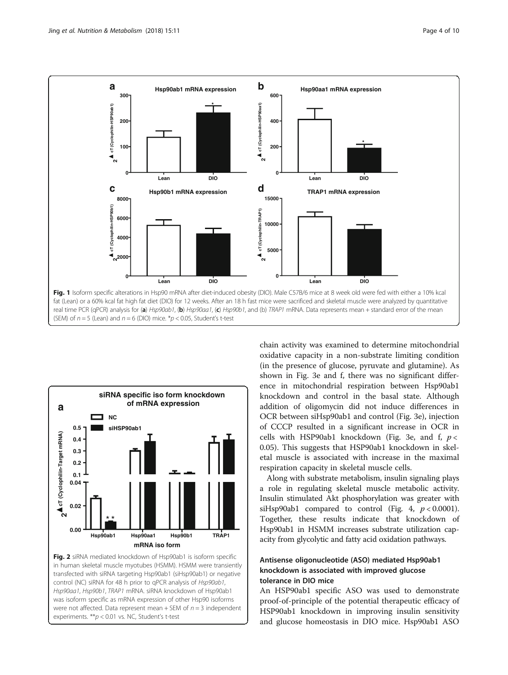<span id="page-3-0"></span>



Fig. 2 siRNA mediated knockdown of Hsp90ab1 is isoform specific in human skeletal muscle myotubes (HSMM). HSMM were transiently transfected with siRNA targeting Hsp90ab1 (siHsp90ab1) or negative control (NC) siRNA for 48 h prior to qPCR analysis of Hsp90ab1, Hsp90aa1, Hsp90b1, TRAP1 mRNA. siRNA knockdown of Hsp90ab1 was isoform specific as mRNA expression of other Hsp90 isoforms were not affected. Data represent mean  $+$  SEM of  $n = 3$  independent experiments. \*\*p < 0.01 vs. NC, Student's t-test

chain activity was examined to determine mitochondrial oxidative capacity in a non-substrate limiting condition (in the presence of glucose, pyruvate and glutamine). As shown in Fig. [3e and f,](#page-4-0) there was no significant difference in mitochondrial respiration between Hsp90ab1 knockdown and control in the basal state. Although addition of oligomycin did not induce differences in OCR between siHsp90ab1 and control (Fig. [3e\)](#page-4-0), injection of CCCP resulted in a significant increase in OCR in cells with HSP90ab1 knockdown (Fig. [3e, and f](#page-4-0),  $p <$ 0.05). This suggests that HSP90ab1 knockdown in skeletal muscle is associated with increase in the maximal respiration capacity in skeletal muscle cells.

Along with substrate metabolism, insulin signaling plays a role in regulating skeletal muscle metabolic activity. Insulin stimulated Akt phosphorylation was greater with siHsp90ab1 compared to control (Fig. [4](#page-5-0),  $p < 0.0001$ ). Together, these results indicate that knockdown of Hsp90ab1 in HSMM increases substrate utilization capacity from glycolytic and fatty acid oxidation pathways.

## Antisense oligonucleotide (ASO) mediated Hsp90ab1 knockdown is associated with improved glucose tolerance in DIO mice

An HSP90ab1 specific ASO was used to demonstrate proof-of-principle of the potential therapeutic efficacy of HSP90ab1 knockdown in improving insulin sensitivity and glucose homeostasis in DIO mice. Hsp90ab1 ASO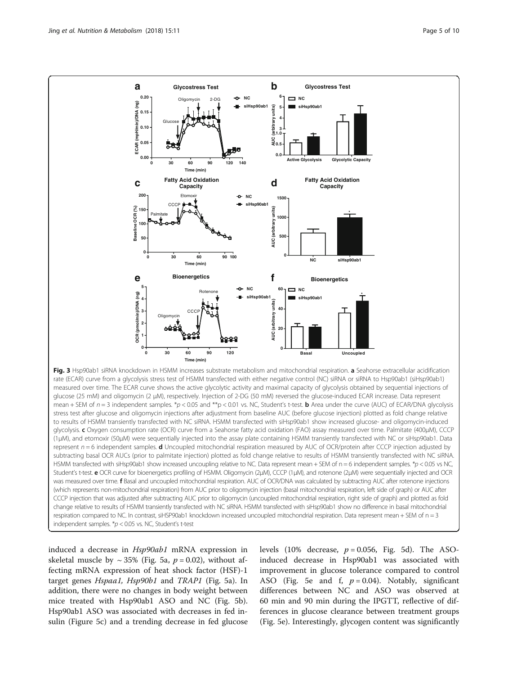<span id="page-4-0"></span>

respiration compared to NC. In contrast, siHSP90ab1 knockdown increased uncoupled mitochondrial respiration. Data represent mean + SEM of n = 3 independent samples.  $p$  < 0.05 vs. NC, Student's t-test

induced a decrease in Hsp90ab1 mRNA expression in skeletal muscle by  $\sim$  35% (Fig. [5a](#page-6-0),  $p = 0.02$ ), without affecting mRNA expression of heat shock factor (HSF)-1 target genes Hspaa1, Hsp90b1 and TRAP1 (Fig. [5a](#page-6-0)). In addition, there were no changes in body weight between mice treated with Hsp90ab1 ASO and NC (Fig. [5b](#page-6-0)). Hsp90ab1 ASO was associated with decreases in fed insulin (Figure [5c\)](#page-6-0) and a trending decrease in fed glucose levels  $(10\%$  decrease,  $p = 0.056$ , Fig. [5d](#page-6-0)). The ASOinduced decrease in Hsp90ab1 was associated with improvement in glucose tolerance compared to control ASO (Fig. [5e and f](#page-6-0),  $p = 0.04$ ). Notably, significant differences between NC and ASO was observed at 60 min and 90 min during the IPGTT, reflective of differences in glucose clearance between treatment groups (Fig. [5e\)](#page-6-0). Interestingly, glycogen content was significantly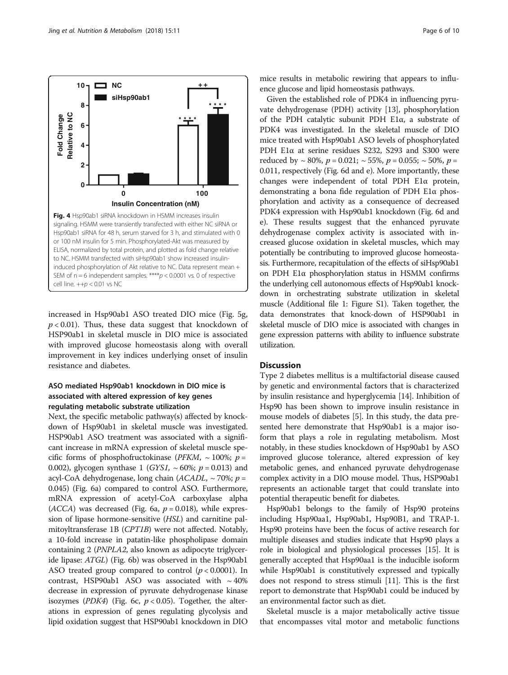<span id="page-5-0"></span>

increased in Hsp90ab1 ASO treated DIO mice (Fig. [5](#page-6-0)g,  $p$  < 0.01). Thus, these data suggest that knockdown of HSP90ab1 in skeletal muscle in DIO mice is associated with improved glucose homeostasis along with overall improvement in key indices underlying onset of insulin resistance and diabetes.

## ASO mediated Hsp90ab1 knockdown in DIO mice is associated with altered expression of key genes regulating metabolic substrate utilization

Next, the specific metabolic pathway(s) affected by knockdown of Hsp90ab1 in skeletal muscle was investigated. HSP90ab1 ASO treatment was associated with a significant increase in mRNA expression of skeletal muscle specific forms of phosphofructokinase (*PFKM*,  $\sim$  100%; *p* = 0.002), glycogen synthase 1 (*GYS1*,  $\sim$  60%;  $p = 0.013$ ) and acyl-CoA dehydrogenase, long chain ( $ACADL$ , ~70%;  $p =$ 0.045) (Fig. [6a\)](#page-7-0) compared to control ASO. Furthermore, mRNA expression of acetyl-CoA carboxylase alpha (ACCA) was decreased (Fig. [6a](#page-7-0),  $p = 0.018$ ), while expression of lipase hormone-sensitive (HSL) and carnitine palmitoyltransferase 1B (CPT1B) were not affected. Notably, a 10-fold increase in patatin-like phospholipase domain containing 2 (PNPLA2, also known as adipocyte triglyceride lipase: ATGL) (Fig. [6b](#page-7-0)) was observed in the Hsp90ab1 ASO treated group compared to control  $(p < 0.0001)$ . In contrast, HSP90ab1 ASO was associated with  $\sim 40\%$ decrease in expression of pyruvate dehydrogenase kinase isozymes (*PDK4*) (Fig. [6c](#page-7-0),  $p < 0.05$ ). Together, the alterations in expression of genes regulating glycolysis and lipid oxidation suggest that HSP90ab1 knockdown in DIO

mice results in metabolic rewiring that appears to influence glucose and lipid homeostasis pathways.

Given the established role of PDK4 in influencing pyruvate dehydrogenase (PDH) activity [[13](#page-9-0)], phosphorylation of the PDH catalytic subunit PDH E1α, a substrate of PDK4 was investigated. In the skeletal muscle of DIO mice treated with Hsp90ab1 ASO levels of phosphorylated PDH E1α at serine residues S232, S293 and S300 were reduced by ~ 80%,  $p = 0.021$ ; ~ 55%,  $p = 0.055$ ; ~ 50%,  $p =$ 0.011, respectively (Fig. [6d and e](#page-7-0)). More importantly, these changes were independent of total PDH E1α protein, demonstrating a bona fide regulation of PDH E1α phosphorylation and activity as a consequence of decreased PDK4 expression with Hsp90ab1 knockdown (Fig. [6d and](#page-7-0) [e](#page-7-0)). These results suggest that the enhanced pyruvate dehydrogenase complex activity is associated with increased glucose oxidation in skeletal muscles, which may potentially be contributing to improved glucose homeostasis. Furthermore, recapitulation of the effects of siHsp90ab1 on PDH E1α phosphorylation status in HSMM confirms the underlying cell autonomous effects of Hsp90ab1 knockdown in orchestrating substrate utilization in skeletal muscle (Additional file [1:](#page-8-0) Figure S1). Taken together, the data demonstrates that knock-down of HSP90ab1 in skeletal muscle of DIO mice is associated with changes in gene expression patterns with ability to influence substrate utilization.

## **Discussion**

Type 2 diabetes mellitus is a multifactorial disease caused by genetic and environmental factors that is characterized by insulin resistance and hyperglycemia [\[14\]](#page-9-0). Inhibition of Hsp90 has been shown to improve insulin resistance in mouse models of diabetes [\[5](#page-8-0)]. In this study, the data presented here demonstrate that Hsp90ab1 is a major isoform that plays a role in regulating metabolism. Most notably, in these studies knockdown of Hsp90ab1 by ASO improved glucose tolerance, altered expression of key metabolic genes, and enhanced pyruvate dehydrogenase complex activity in a DIO mouse model. Thus, HSP90ab1 represents an actionable target that could translate into potential therapeutic benefit for diabetes.

Hsp90ab1 belongs to the family of Hsp90 proteins including Hsp90aa1, Hsp90ab1, Hsp90B1, and TRAP-1. Hsp90 proteins have been the focus of active research for multiple diseases and studies indicate that Hsp90 plays a role in biological and physiological processes [[15](#page-9-0)]. It is generally accepted that Hsp90aa1 is the inducible isoform while Hsp90ab1 is constitutively expressed and typically does not respond to stress stimuli [[11](#page-9-0)]. This is the first report to demonstrate that Hsp90ab1 could be induced by an environmental factor such as diet.

Skeletal muscle is a major metabolically active tissue that encompasses vital motor and metabolic functions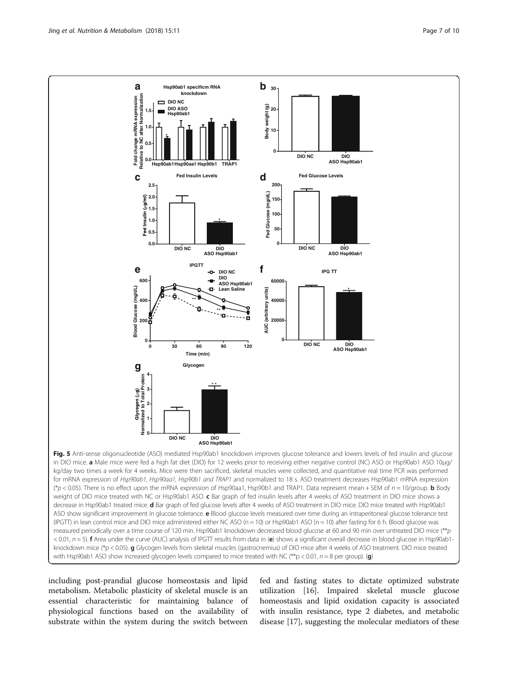<span id="page-6-0"></span>

measured periodically over a time course of 120 min. Hsp90ab1 knockdown decreased blood glucose at 60 and 90 min over untreated DIO mice (\*\*p < 0.01, n = 5). f Area under the curve (AUC) analysis of IPGTT results from data in (e) shows a significant overall decrease in blood glucose in Hsp90ab1 knockdown mice (\*p < 0.05).  $g$  Glycogen levels from skeletal muscles (gastrocnemius) of DIO mice after 4 weeks of ASO treatment. DIO mice treated with Hsp90ab1 ASO show increased glycogen levels compared to mice treated with NC (\*\*p < 0.01,  $n = 8$  per group). (g)

including post-prandial glucose homeostasis and lipid metabolism. Metabolic plasticity of skeletal muscle is an essential characteristic for maintaining balance of physiological functions based on the availability of substrate within the system during the switch between

fed and fasting states to dictate optimized substrate utilization [[16\]](#page-9-0). Impaired skeletal muscle glucose homeostasis and lipid oxidation capacity is associated with insulin resistance, type 2 diabetes, and metabolic disease [[17](#page-9-0)], suggesting the molecular mediators of these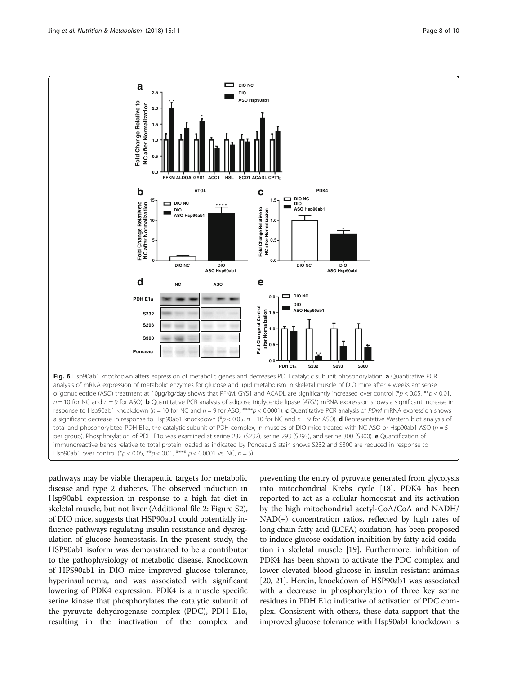<span id="page-7-0"></span>

analysis of mRNA expression of metabolic enzymes for glucose and lipid metabolism in skeletal muscle of DIO mice after 4 weeks antisense oligonucleotide (ASO) treatment at 10μg/kg/day shows that PFKM, GYS1 and ACADL are significantly increased over control (\*p < 0.05, \*\*p < 0.01,  $n = 10$  for NC and  $n = 9$  for ASO). **b** Quantitative PCR analysis of adipose triglyceride lipase (ATGL) mRNA expression shows a significant increase in response to Hsp90ab1 knockdown (n = 10 for NC and n = 9 for ASO, \*\*\*\*p < 0.0001). C Quantitative PCR analysis of PDK4 mRNA expression shows a significant decrease in response to Hsp90ab1 knockdown (\*p < 0.05,  $n = 10$  for NC and  $n = 9$  for ASO). **d** Representative Western blot analysis of total and phosphorylated PDH E1α, the catalytic subunit of PDH complex, in muscles of DIO mice treated with NC ASO or Hsp90ab1 ASO (n = 5 per group). Phosphorylation of PDH E1a was examined at serine 232 (S232), serine 293 (S293), and serine 300 (S300). e Quantification of immunoreactive bands relative to total protein loaded as indicated by Ponceau S stain shows S232 and S300 are reduced in response to Hsp90ab1 over control (\* $p < 0.05$ , \*\* $p < 0.01$ , \*\*\*\*  $p < 0.0001$  vs. NC,  $n = 5$ )

pathways may be viable therapeutic targets for metabolic disease and type 2 diabetes. The observed induction in Hsp90ab1 expression in response to a high fat diet in skeletal muscle, but not liver (Additional file [2:](#page-8-0) Figure S2), of DIO mice, suggests that HSP90ab1 could potentially influence pathways regulating insulin resistance and dysregulation of glucose homeostasis. In the present study, the HSP90ab1 isoform was demonstrated to be a contributor to the pathophysiology of metabolic disease. Knockdown of HPS90ab1 in DIO mice improved glucose tolerance, hyperinsulinemia, and was associated with significant lowering of PDK4 expression. PDK4 is a muscle specific serine kinase that phosphorylates the catalytic subunit of the pyruvate dehydrogenase complex (PDC), PDH E1α, resulting in the inactivation of the complex and

preventing the entry of pyruvate generated from glycolysis into mitochondrial Krebs cycle [\[18](#page-9-0)]. PDK4 has been reported to act as a cellular homeostat and its activation by the high mitochondrial acetyl-CoA/CoA and NADH/  $NAD(+)$  concentration ratios, reflected by high rates of long chain fatty acid (LCFA) oxidation, has been proposed to induce glucose oxidation inhibition by fatty acid oxidation in skeletal muscle [\[19\]](#page-9-0). Furthermore, inhibition of PDK4 has been shown to activate the PDC complex and lower elevated blood glucose in insulin resistant animals [[20](#page-9-0), [21\]](#page-9-0). Herein, knockdown of HSP90ab1 was associated with a decrease in phosphorylation of three key serine residues in PDH E1α indicative of activation of PDC complex. Consistent with others, these data support that the improved glucose tolerance with Hsp90ab1 knockdown is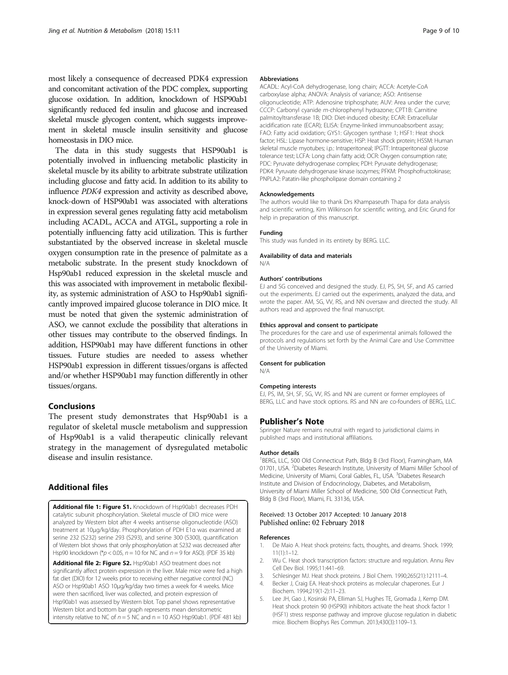<span id="page-8-0"></span>most likely a consequence of decreased PDK4 expression and concomitant activation of the PDC complex, supporting glucose oxidation. In addition, knockdown of HSP90ab1 significantly reduced fed insulin and glucose and increased skeletal muscle glycogen content, which suggests improvement in skeletal muscle insulin sensitivity and glucose homeostasis in DIO mice.

The data in this study suggests that HSP90ab1 is potentially involved in influencing metabolic plasticity in skeletal muscle by its ability to arbitrate substrate utilization including glucose and fatty acid. In addition to its ability to influence PDK4 expression and activity as described above, knock-down of HSP90ab1 was associated with alterations in expression several genes regulating fatty acid metabolism including ACADL, ACCA and ATGL, supporting a role in potentially influencing fatty acid utilization. This is further substantiated by the observed increase in skeletal muscle oxygen consumption rate in the presence of palmitate as a metabolic substrate. In the present study knockdown of Hsp90ab1 reduced expression in the skeletal muscle and this was associated with improvement in metabolic flexibility, as systemic administration of ASO to Hsp90ab1 significantly improved impaired glucose tolerance in DIO mice. It must be noted that given the systemic administration of ASO, we cannot exclude the possibility that alterations in other tissues may contribute to the observed findings. In addition, HSP90ab1 may have different functions in other tissues. Future studies are needed to assess whether HSP90ab1 expression in different tissues/organs is affected and/or whether HSP90ab1 may function differently in other tissues/organs.

## Conclusions

The present study demonstrates that Hsp90ab1 is a regulator of skeletal muscle metabolism and suppression of Hsp90ab1 is a valid therapeutic clinically relevant strategy in the management of dysregulated metabolic disease and insulin resistance.

## Additional files

[Additional file 1: Figure S1.](dx.doi.org/10.1186/s12986-018-0242-6) Knockdown of Hsp90ab1 decreases PDH catalytic subunit phosphorylation. Skeletal muscle of DIO mice were analyzed by Western blot after 4 weeks antisense oligonucleotide (ASO) treatment at 10μg/kg/day. Phosphorylation of PDH E1α was examined at serine 232 (S232) serine 293 (S293), and serine 300 (S300), quantification of Western blot shows that only phosphorylation at S232 was decreased after Hsp90 knockdown ( $np < 0.05$ ,  $n = 10$  for NC and  $n = 9$  for ASO). (PDF 35 kb)

[Additional file 2: Figure S2.](dx.doi.org/10.1186/s12986-018-0242-6) Hsp90ab1 ASO treatment does not significantly affect protein expression in the liver. Male mice were fed a high fat diet (DIO) for 12 weeks prior to receiving either negative control (NC) ASO or Hsp90ab1 ASO 10μg/kg/day two times a week for 4 weeks. Mice were then sacrificed, liver was collected, and protein expression of Hsp90ab1 was assessed by Western blot. Top panel shows representative Western blot and bottom bar graph represents mean densitometric intensity relative to NC of  $n = 5$  NC and  $n = 10$  ASO Hsp90ab1. (PDF 481 kb)

#### Abbreviations

ACADL: Acyl-CoA dehydrogenase, long chain; ACCA: Acetyle-CoA carboxylase alpha; ANOVA: Analysis of variance; ASO: Antisense oligonucleotide; ATP: Adenosine triphosphate; AUV: Area under the curve; CCCP: Carbonyl cyanide m-chlorophenyl hydrazone; CPT1B: Carnitine palmitoyltransferase 1B; DIO: Diet-induced obesity; ECAR: Extracellular acidification rate (ECAR); ELISA: Enzyme-linked immunoabsorbent assay; FAO: Fatty acid oxidation; GYS1: Glycogen synthase 1; HSF1: Heat shock factor; HSL: Lipase hormone-sensitive; HSP: Heat shock protein; HSSM: Human skeletal muscle myotubes; i.p.: Intraperitoneal; IPGTT: Intraperitoneal glucose tolerance test; LCFA: Long chain fatty acid; OCR: Oxygen consumption rate; PDC: Pyruvate dehydrogenase complex; PDH: Pyruvate dehydrogenase; PDK4: Pyruvate dehydrogenase kinase isozymes; PFKM: Phosphofructokinase; PNPLA2: Patatin-like phospholipase domain containing 2

#### Acknowledgements

The authors would like to thank Drs Khampaseuth Thapa for data analysis and scientific writing, Kim Wilkinson for scientific writing, and Eric Grund for help in preparation of this manuscript.

#### Funding

This study was funded in its entirety by BERG. LLC.

#### Availability of data and materials

N/A

#### Authors' contributions

EJ and SG conceived and designed the study. EJ, PS, SH, SF, and AS carried out the experiments. EJ carried out the experiments, analyzed the data, and wrote the paper. AM, SG, VV, RS, and NN oversaw and directed the study. All authors read and approved the final manuscript.

#### Ethics approval and consent to participate

The procedures for the care and use of experimental animals followed the protocols and regulations set forth by the Animal Care and Use Committee of the University of Miami.

#### Consent for publication

N/A

#### Competing interests

EJ, PS, IM, SH, SF, SG, VV, RS and NN are current or former employees of BERG, LLC and have stock options. RS and NN are co-founders of BERG, LLC.

#### Publisher's Note

Springer Nature remains neutral with regard to jurisdictional claims in published maps and institutional affiliations.

#### Author details

<sup>1</sup>BERG, LLC, 500 Old Connecticut Path, Bldg B (3rd Floor), Framingham, MA 01701, USA. <sup>2</sup>Diabetes Research Institute, University of Miami Miller School of Medicine, University of Miami, Coral Gables, FL, USA. <sup>3</sup>Diabetes Research Institute and Division of Endocrinology, Diabetes, and Metabolism, University of Miami Miller School of Medicine, 500 Old Connecticut Path, Bldg B (3rd Floor), Miami, FL 33136, USA.

#### Received: 13 October 2017 Accepted: 10 January 2018 Published online: 02 February 2018

#### References

- 1. De Maio A. Heat shock proteins: facts, thoughts, and dreams. Shock. 1999; 11(1):1–12.
- 2. Wu C. Heat shock transcription factors: structure and regulation. Annu Rev Cell Dev Biol. 1995;11:441–69.
- 3. Schlesinger MJ. Heat shock proteins. J Biol Chem. 1990;265(21):12111–4.
- 4. Becker J, Craig EA. Heat-shock proteins as molecular chaperones. Eur J Biochem. 1994;219(1-2):11–23.
- 5. Lee JH, Gao J, Kosinski PA, Elliman SJ, Hughes TE, Gromada J, Kemp DM. Heat shock protein 90 (HSP90) inhibitors activate the heat shock factor 1 (HSF1) stress response pathway and improve glucose regulation in diabetic mice. Biochem Biophys Res Commun. 2013;430(3):1109–13.